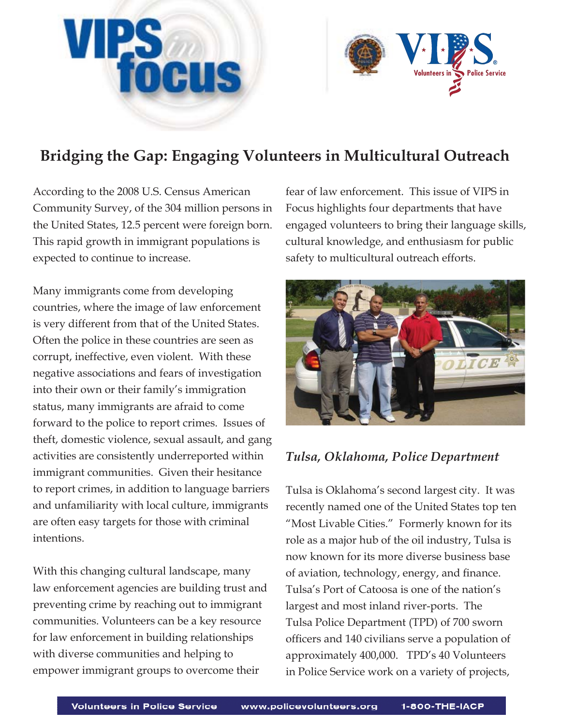



According to the 2008 U.S. Census American Community Survey, of the 304 million persons in the United States, 12.5 percent were foreign born. This rapid growth in immigrant populations is expected to continue to increase.

Many immigrants come from developing countries, where the image of law enforcement is very different from that of the United States. Often the police in these countries are seen as corrupt, ineffective, even violent. With these negative associations and fears of investigation into their own or their family's immigration status, many immigrants are afraid to come forward to the police to report crimes. Issues of theft, domestic violence, sexual assault, and gang activities are consistently underreported within immigrant communities. Given their hesitance to report crimes, in addition to language barriers and unfamiliarity with local culture, immigrants are often easy targets for those with criminal intentions.

With this changing cultural landscape, many law enforcement agencies are building trust and preventing crime by reaching out to immigrant communities. Volunteers can be a key resource for law enforcement in building relationships with diverse communities and helping to empower immigrant groups to overcome their

fear of law enforcement. This issue of VIPS in Focus highlights four departments that have engaged volunteers to bring their language skills, cultural knowledge, and enthusiasm for public safety to multicultural outreach efforts.



## *Tulsa, Oklahoma, Police Department*

Tulsa is Oklahoma's second largest city. It was recently named one of the United States top ten "Most Livable Cities." Formerly known for its role as a major hub of the oil industry, Tulsa is now known for its more diverse business base of aviation, technology, energy, and finance. Tulsa's Port of Catoosa is one of the nation's largest and most inland river-ports. The Tulsa Police Department (TPD) of 700 sworn officers and 140 civilians serve a population of approximately 400,000. TPD's 40 Volunteers in Police Service work on a variety of projects,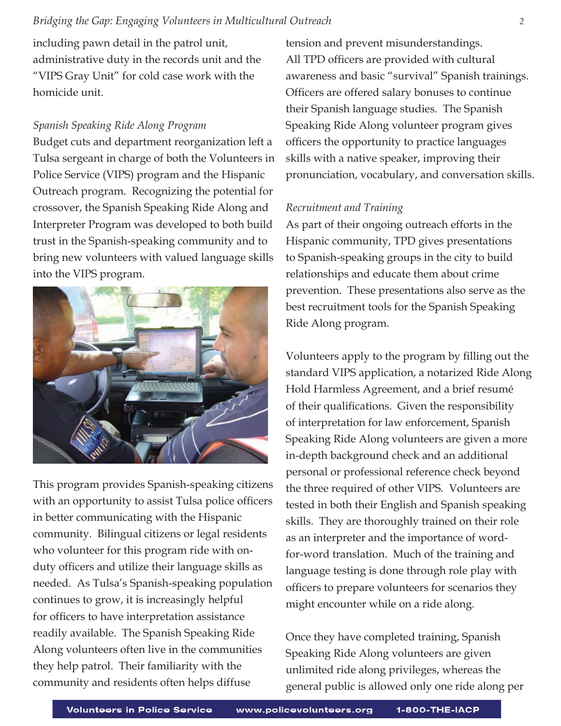including pawn detail in the patrol unit, administrative duty in the records unit and the "VIPS Gray Unit" for cold case work with the homicide unit.

### *Spanish Speaking Ride Along Program*

Budget cuts and department reorganization left a Tulsa sergeant in charge of both the Volunteers in Police Service (VIPS) program and the Hispanic Outreach program. Recognizing the potential for crossover, the Spanish Speaking Ride Along and Interpreter Program was developed to both build trust in the Spanish-speaking community and to bring new volunteers with valued language skills into the VIPS program.



This program provides Spanish-speaking citizens with an opportunity to assist Tulsa police officers in better communicating with the Hispanic community. Bilingual citizens or legal residents who volunteer for this program ride with onduty officers and utilize their language skills as needed. As Tulsa's Spanish-speaking population continues to grow, it is increasingly helpful for officers to have interpretation assistance readily available. The Spanish Speaking Ride Along volunteers often live in the communities they help patrol. Their familiarity with the community and residents often helps diffuse

tension and prevent misunderstandings. All TPD officers are provided with cultural awareness and basic "survival" Spanish trainings. Officers are offered salary bonuses to continue their Spanish language studies. The Spanish Speaking Ride Along volunteer program gives officers the opportunity to practice languages skills with a native speaker, improving their pronunciation, vocabulary, and conversation skills.

#### *Recruitment and Training*

As part of their ongoing outreach efforts in the Hispanic community, TPD gives presentations to Spanish-speaking groups in the city to build relationships and educate them about crime prevention. These presentations also serve as the best recruitment tools for the Spanish Speaking Ride Along program.

Volunteers apply to the program by filling out the standard VIPS application, a notarized Ride Along Hold Harmless Agreement, and a brief resumé of their qualifications. Given the responsibility of interpretation for law enforcement, Spanish Speaking Ride Along volunteers are given a more in-depth background check and an additional personal or professional reference check beyond the three required of other VIPS. Volunteers are tested in both their English and Spanish speaking skills. They are thoroughly trained on their role as an interpreter and the importance of wordfor-word translation. Much of the training and language testing is done through role play with officers to prepare volunteers for scenarios they might encounter while on a ride along.

Once they have completed training, Spanish Speaking Ride Along volunteers are given unlimited ride along privileges, whereas the general public is allowed only one ride along per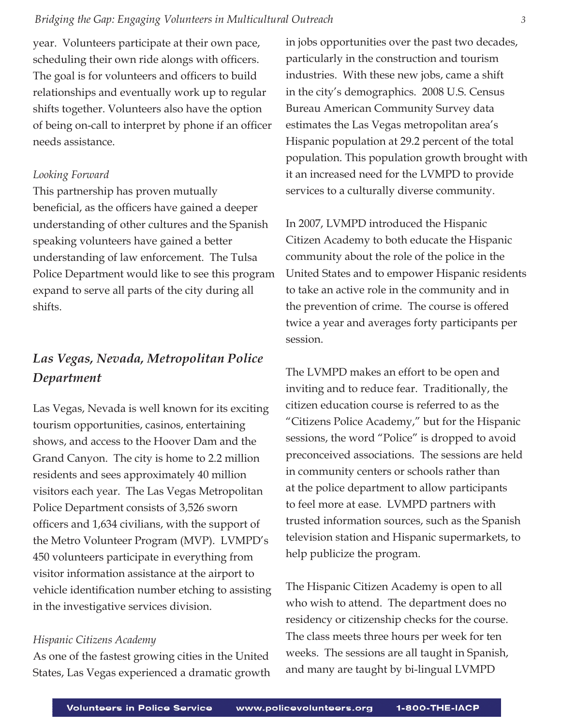year. Volunteers participate at their own pace, scheduling their own ride alongs with officers. The goal is for volunteers and officers to build relationships and eventually work up to regular shifts together. Volunteers also have the option of being on-call to interpret by phone if an officer needs assistance.

#### *Looking Forward*

This partnership has proven mutually beneficial, as the officers have gained a deeper understanding of other cultures and the Spanish speaking volunteers have gained a better understanding of law enforcement. The Tulsa Police Department would like to see this program expand to serve all parts of the city during all shifts.

## *Las Vegas, Nevada, Metropolitan Police Department*

Las Vegas, Nevada is well known for its exciting tourism opportunities, casinos, entertaining shows, and access to the Hoover Dam and the Grand Canyon. The city is home to 2.2 million residents and sees approximately 40 million visitors each year. The Las Vegas Metropolitan Police Department consists of 3,526 sworn officers and 1,634 civilians, with the support of the Metro Volunteer Program (MVP). LVMPD's 450 volunteers participate in everything from visitor information assistance at the airport to vehicle identification number etching to assisting in the investigative services division.

#### *Hispanic Citizens Academy*

As one of the fastest growing cities in the United States, Las Vegas experienced a dramatic growth

in jobs opportunities over the past two decades, particularly in the construction and tourism industries. With these new jobs, came a shift in the city's demographics. 2008 U.S. Census Bureau American Community Survey data estimates the Las Vegas metropolitan area's Hispanic population at 29.2 percent of the total population. This population growth brought with it an increased need for the LVMPD to provide services to a culturally diverse community.

In 2007, LVMPD introduced the Hispanic Citizen Academy to both educate the Hispanic community about the role of the police in the United States and to empower Hispanic residents to take an active role in the community and in the prevention of crime. The course is offered twice a year and averages forty participants per session.

The LVMPD makes an effort to be open and inviting and to reduce fear. Traditionally, the citizen education course is referred to as the "Citizens Police Academy," but for the Hispanic sessions, the word "Police" is dropped to avoid preconceived associations. The sessions are held in community centers or schools rather than at the police department to allow participants to feel more at ease. LVMPD partners with trusted information sources, such as the Spanish television station and Hispanic supermarkets, to help publicize the program.

The Hispanic Citizen Academy is open to all who wish to attend. The department does no residency or citizenship checks for the course. The class meets three hours per week for ten weeks. The sessions are all taught in Spanish, and many are taught by bi-lingual LVMPD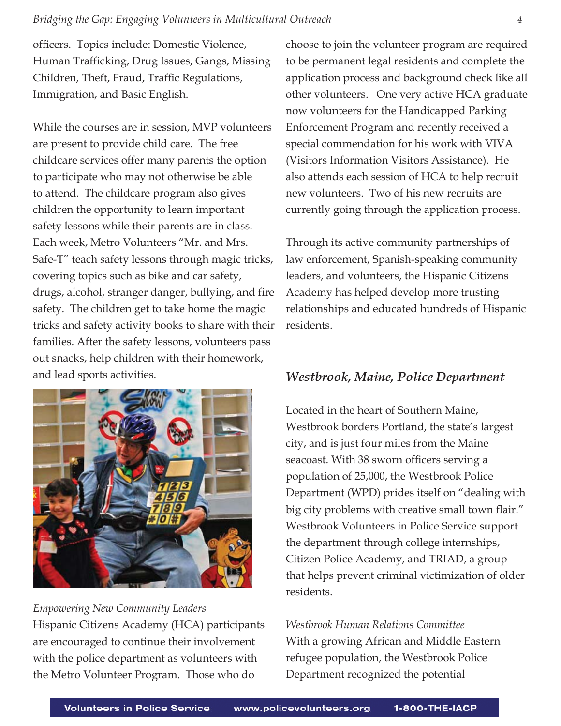officers. Topics include: Domestic Violence, Human Trafficking, Drug Issues, Gangs, Missing Children, Theft, Fraud, Traffic Regulations, Immigration, and Basic English.

While the courses are in session, MVP volunteers are present to provide child care. The free childcare services offer many parents the option to participate who may not otherwise be able to attend. The childcare program also gives children the opportunity to learn important safety lessons while their parents are in class. Each week, Metro Volunteers "Mr. and Mrs. Safe-T" teach safety lessons through magic tricks, covering topics such as bike and car safety, drugs, alcohol, stranger danger, bullying, and fire safety. The children get to take home the magic tricks and safety activity books to share with their families. After the safety lessons, volunteers pass out snacks, help children with their homework, and lead sports activities.



*Empowering New Community Leaders* Hispanic Citizens Academy (HCA) participants are encouraged to continue their involvement with the police department as volunteers with the Metro Volunteer Program. Those who do

choose to join the volunteer program are required to be permanent legal residents and complete the application process and background check like all other volunteers. One very active HCA graduate now volunteers for the Handicapped Parking Enforcement Program and recently received a special commendation for his work with VIVA (Visitors Information Visitors Assistance). He also attends each session of HCA to help recruit new volunteers. Two of his new recruits are currently going through the application process.

Through its active community partnerships of law enforcement, Spanish-speaking community leaders, and volunteers, the Hispanic Citizens Academy has helped develop more trusting relationships and educated hundreds of Hispanic residents.

## *Westbrook, Maine, Police Department*

Located in the heart of Southern Maine, Westbrook borders Portland, the state's largest city, and is just four miles from the Maine seacoast. With 38 sworn officers serving a population of 25,000, the Westbrook Police Department (WPD) prides itself on "dealing with big city problems with creative small town flair." Westbrook Volunteers in Police Service support the department through college internships, Citizen Police Academy, and TRIAD, a group that helps prevent criminal victimization of older residents.

*Westbrook Human Relations Committee* With a growing African and Middle Eastern refugee population, the Westbrook Police Department recognized the potential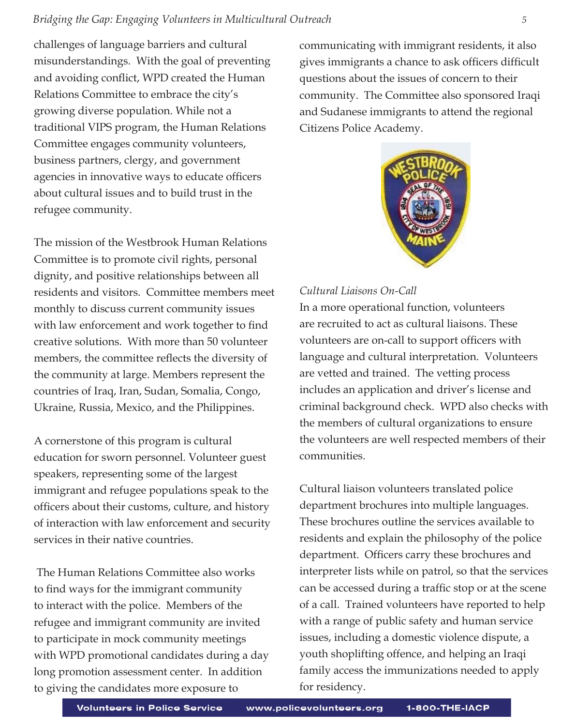challenges of language barriers and cultural misunderstandings. With the goal of preventing and avoiding conflict, WPD created the Human Relations Committee to embrace the city's growing diverse population. While not a traditional VIPS program, the Human Relations Committee engages community volunteers, business partners, clergy, and government agencies in innovative ways to educate officers about cultural issues and to build trust in the refugee community.

The mission of the Westbrook Human Relations Committee is to promote civil rights, personal dignity, and positive relationships between all residents and visitors. Committee members meet monthly to discuss current community issues with law enforcement and work together to find creative solutions. With more than 50 volunteer members, the committee reflects the diversity of the community at large. Members represent the countries of Iraq, Iran, Sudan, Somalia, Congo, Ukraine, Russia, Mexico, and the Philippines.

A cornerstone of this program is cultural education for sworn personnel. Volunteer guest speakers, representing some of the largest immigrant and refugee populations speak to the officers about their customs, culture, and history of interaction with law enforcement and security services in their native countries.

 The Human Relations Committee also works to find ways for the immigrant community to interact with the police. Members of the refugee and immigrant community are invited to participate in mock community meetings with WPD promotional candidates during a day long promotion assessment center. In addition to giving the candidates more exposure to

communicating with immigrant residents, it also gives immigrants a chance to ask officers difficult questions about the issues of concern to their community. The Committee also sponsored Iraqi and Sudanese immigrants to attend the regional Citizens Police Academy.



#### *Cultural Liaisons On-Call*

In a more operational function, volunteers are recruited to act as cultural liaisons. These volunteers are on-call to support officers with language and cultural interpretation. Volunteers are vetted and trained. The vetting process includes an application and driver's license and criminal background check. WPD also checks with the members of cultural organizations to ensure the volunteers are well respected members of their communities.

Cultural liaison volunteers translated police department brochures into multiple languages. These brochures outline the services available to residents and explain the philosophy of the police department. Officers carry these brochures and interpreter lists while on patrol, so that the services can be accessed during a traffic stop or at the scene of a call. Trained volunteers have reported to help with a range of public safety and human service issues, including a domestic violence dispute, a youth shoplifting offence, and helping an Iraqi family access the immunizations needed to apply for residency.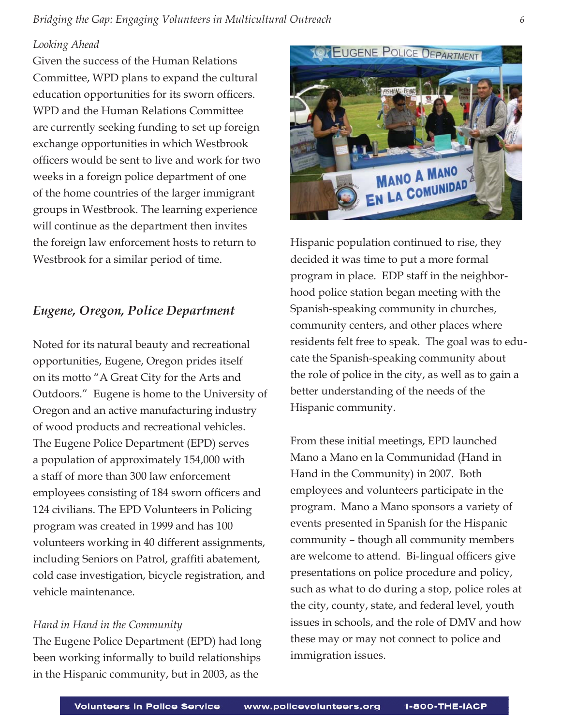## *Looking Ahead*

Given the success of the Human Relations Committee, WPD plans to expand the cultural education opportunities for its sworn officers. WPD and the Human Relations Committee are currently seeking funding to set up foreign exchange opportunities in which Westbrook officers would be sent to live and work for two weeks in a foreign police department of one of the home countries of the larger immigrant groups in Westbrook. The learning experience will continue as the department then invites the foreign law enforcement hosts to return to Westbrook for a similar period of time.

## *Eugene, Oregon, Police Department*

Noted for its natural beauty and recreational opportunities, Eugene, Oregon prides itself on its motto "A Great City for the Arts and Outdoors." Eugene is home to the University of Oregon and an active manufacturing industry of wood products and recreational vehicles. The Eugene Police Department (EPD) serves a population of approximately 154,000 with a staff of more than 300 law enforcement employees consisting of 184 sworn officers and 124 civilians. The EPD Volunteers in Policing program was created in 1999 and has 100 volunteers working in 40 different assignments, including Seniors on Patrol, graffiti abatement, cold case investigation, bicycle registration, and vehicle maintenance.

#### *Hand in Hand in the Community*

The Eugene Police Department (EPD) had long been working informally to build relationships in the Hispanic community, but in 2003, as the



Hispanic population continued to rise, they decided it was time to put a more formal program in place. EDP staff in the neighborhood police station began meeting with the Spanish-speaking community in churches, community centers, and other places where residents felt free to speak. The goal was to educate the Spanish-speaking community about the role of police in the city, as well as to gain a better understanding of the needs of the Hispanic community.

From these initial meetings, EPD launched Mano a Mano en la Communidad (Hand in Hand in the Community) in 2007. Both employees and volunteers participate in the program. Mano a Mano sponsors a variety of events presented in Spanish for the Hispanic community – though all community members are welcome to attend. Bi-lingual officers give presentations on police procedure and policy, such as what to do during a stop, police roles at the city, county, state, and federal level, youth issues in schools, and the role of DMV and how these may or may not connect to police and immigration issues.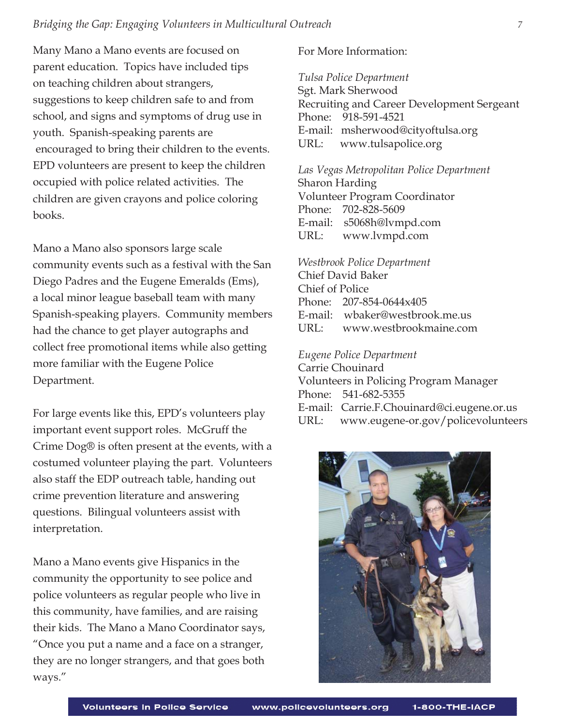Many Mano a Mano events are focused on parent education. Topics have included tips on teaching children about strangers, suggestions to keep children safe to and from school, and signs and symptoms of drug use in youth. Spanish-speaking parents are encouraged to bring their children to the events. EPD volunteers are present to keep the children occupied with police related activities. The children are given crayons and police coloring books.

Mano a Mano also sponsors large scale community events such as a festival with the San Diego Padres and the Eugene Emeralds (Ems), a local minor league baseball team with many Spanish-speaking players. Community members had the chance to get player autographs and collect free promotional items while also getting more familiar with the Eugene Police Department.

For large events like this, EPD's volunteers play important event support roles. McGruff the Crime Dog® is often present at the events, with a costumed volunteer playing the part. Volunteers also staff the EDP outreach table, handing out crime prevention literature and answering questions. Bilingual volunteers assist with interpretation.

Mano a Mano events give Hispanics in the community the opportunity to see police and police volunteers as regular people who live in this community, have families, and are raising their kids. The Mano a Mano Coordinator says, "Once you put a name and a face on a stranger, they are no longer strangers, and that goes both ways."

For More Information:

*Tulsa Police Department* Sgt. Mark Sherwood Recruiting and Career Development Sergeant Phone: 918-591-4521 E-mail: msherwood@cityoftulsa.org URL: www.tulsapolice.org

*Las Vegas Metropolitan Police Department* Sharon Harding Volunteer Program Coordinator Phone: 702-828-5609 E-mail: s5068h@lvmpd.com URL: www.lvmpd.com

*Westbrook Police Department* Chief David Baker Chief of Police Phone: 207-854-0644x405 E-mail: wbaker@westbrook.me.us URL: www.westbrookmaine.com

#### *Eugene Police Department*

Carrie Chouinard Volunteers in Policing Program Manager Phone: 541-682-5355 E-mail: Carrie.F.Chouinard@ci.eugene.or.us URL: www.eugene-or.gov/policevolunteers